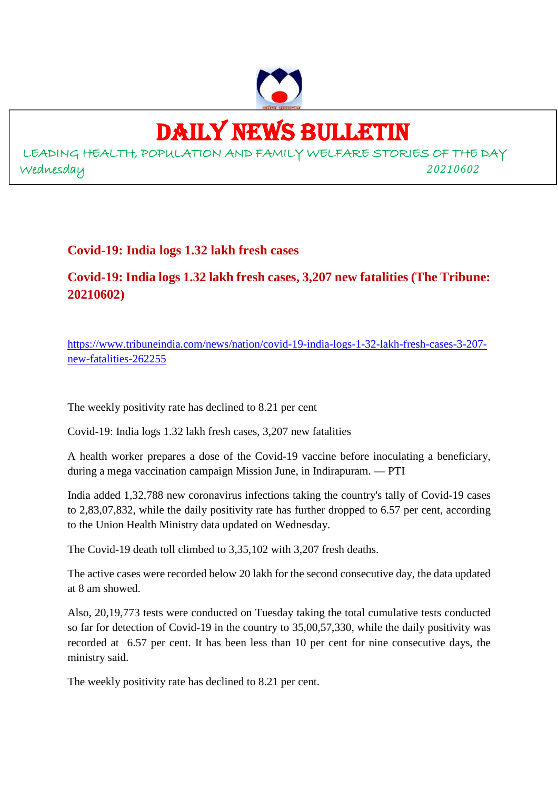

## DAILY NEWS BULLETIN

LEADING HEALTH, POPULATION AND FAMILY WELFARE STORIES OF THE DAY Wednesday *20210602*

**Covid-19: India logs 1.32 lakh fresh cases**

**Covid-19: India logs 1.32 lakh fresh cases, 3,207 new fatalities (The Tribune: 20210602)**

https://www.tribuneindia.com/news/nation/covid-19-india-logs-1-32-lakh-fresh-cases-3-207 new-fatalities-262255

The weekly positivity rate has declined to 8.21 per cent

Covid-19: India logs 1.32 lakh fresh cases, 3,207 new fatalities

A health worker prepares a dose of the Covid-19 vaccine before inoculating a beneficiary, during a mega vaccination campaign Mission June, in Indirapuram. — PTI

India added 1,32,788 new coronavirus infections taking the country's tally of Covid-19 cases to 2,83,07,832, while the daily positivity rate has further dropped to 6.57 per cent, according to the Union Health Ministry data updated on Wednesday.

The Covid-19 death toll climbed to 3,35,102 with 3,207 fresh deaths.

The active cases were recorded below 20 lakh for the second consecutive day, the data updated at 8 am showed.

Also, 20,19,773 tests were conducted on Tuesday taking the total cumulative tests conducted so far for detection of Covid-19 in the country to 35,00,57,330, while the daily positivity was recorded at 6.57 per cent. It has been less than 10 per cent for nine consecutive days, the ministry said.

The weekly positivity rate has declined to 8.21 per cent.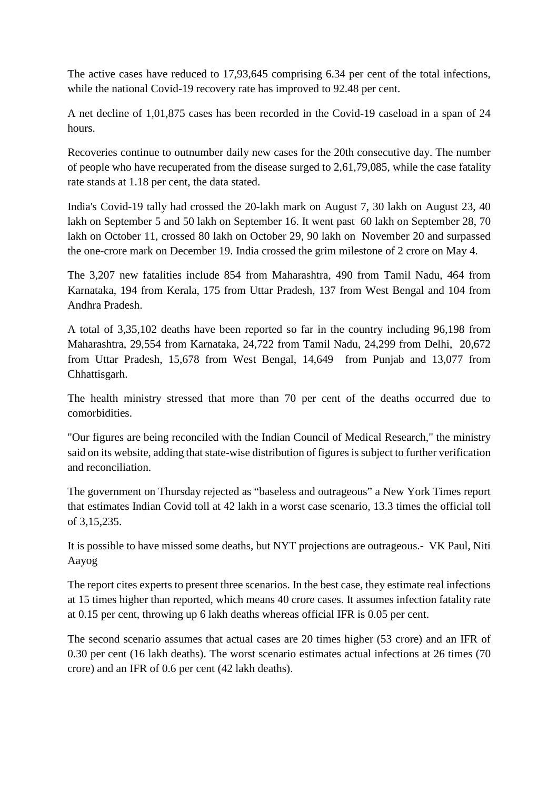The active cases have reduced to 17,93,645 comprising 6.34 per cent of the total infections, while the national Covid-19 recovery rate has improved to 92.48 per cent.

A net decline of 1,01,875 cases has been recorded in the Covid-19 caseload in a span of 24 hours.

Recoveries continue to outnumber daily new cases for the 20th consecutive day. The number of people who have recuperated from the disease surged to 2,61,79,085, while the case fatality rate stands at 1.18 per cent, the data stated.

India's Covid-19 tally had crossed the 20-lakh mark on August 7, 30 lakh on August 23, 40 lakh on September 5 and 50 lakh on September 16. It went past 60 lakh on September 28, 70 lakh on October 11, crossed 80 lakh on October 29, 90 lakh on November 20 and surpassed the one-crore mark on December 19. India crossed the grim milestone of 2 crore on May 4.

The 3,207 new fatalities include 854 from Maharashtra, 490 from Tamil Nadu, 464 from Karnataka, 194 from Kerala, 175 from Uttar Pradesh, 137 from West Bengal and 104 from Andhra Pradesh.

A total of 3,35,102 deaths have been reported so far in the country including 96,198 from Maharashtra, 29,554 from Karnataka, 24,722 from Tamil Nadu, 24,299 from Delhi, 20,672 from Uttar Pradesh, 15,678 from West Bengal, 14,649 from Punjab and 13,077 from Chhattisgarh.

The health ministry stressed that more than 70 per cent of the deaths occurred due to comorbidities.

"Our figures are being reconciled with the Indian Council of Medical Research," the ministry said on its website, adding that state-wise distribution of figures is subject to further verification and reconciliation.

The government on Thursday rejected as "baseless and outrageous" a New York Times report that estimates Indian Covid toll at 42 lakh in a worst case scenario, 13.3 times the official toll of 3,15,235.

It is possible to have missed some deaths, but NYT projections are outrageous.- VK Paul, Niti Aayog

The report cites experts to present three scenarios. In the best case, they estimate real infections at 15 times higher than reported, which means 40 crore cases. It assumes infection fatality rate at 0.15 per cent, throwing up 6 lakh deaths whereas official IFR is 0.05 per cent.

The second scenario assumes that actual cases are 20 times higher (53 crore) and an IFR of 0.30 per cent (16 lakh deaths). The worst scenario estimates actual infections at 26 times (70 crore) and an IFR of 0.6 per cent (42 lakh deaths).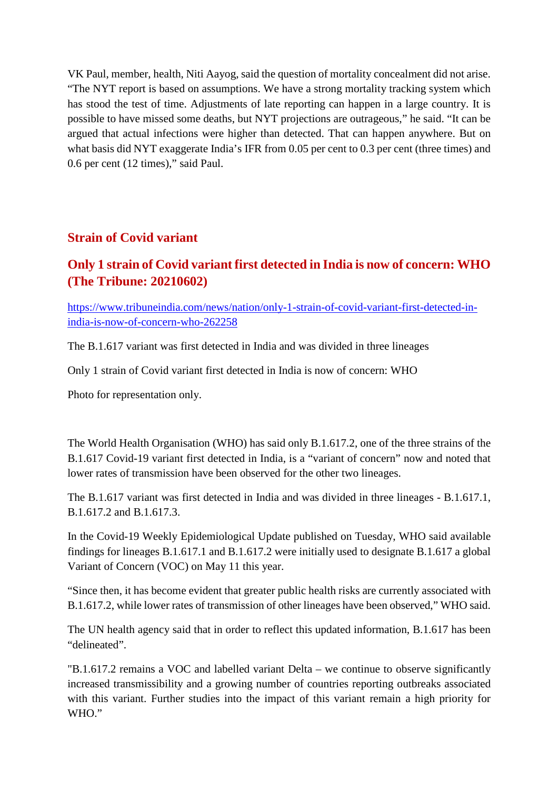VK Paul, member, health, Niti Aayog, said the question of mortality concealment did not arise. "The NYT report is based on assumptions. We have a strong mortality tracking system which has stood the test of time. Adjustments of late reporting can happen in a large country. It is possible to have missed some deaths, but NYT projections are outrageous," he said. "It can be argued that actual infections were higher than detected. That can happen anywhere. But on what basis did NYT exaggerate India's IFR from 0.05 per cent to 0.3 per cent (three times) and 0.6 per cent (12 times)," said Paul.

#### **Strain of Covid variant**

#### **Only 1 strain of Covid variant first detected in India is now of concern: WHO (The Tribune: 20210602)**

https://www.tribuneindia.com/news/nation/only-1-strain-of-covid-variant-first-detected-inindia-is-now-of-concern-who-262258

The B.1.617 variant was first detected in India and was divided in three lineages

Only 1 strain of Covid variant first detected in India is now of concern: WHO

Photo for representation only.

The World Health Organisation (WHO) has said only B.1.617.2, one of the three strains of the B.1.617 Covid-19 variant first detected in India, is a "variant of concern" now and noted that lower rates of transmission have been observed for the other two lineages.

The B.1.617 variant was first detected in India and was divided in three lineages - B.1.617.1, B.1.617.2 and B.1.617.3.

In the Covid-19 Weekly Epidemiological Update published on Tuesday, WHO said available findings for lineages B.1.617.1 and B.1.617.2 were initially used to designate B.1.617 a global Variant of Concern (VOC) on May 11 this year.

"Since then, it has become evident that greater public health risks are currently associated with B.1.617.2, while lower rates of transmission of other lineages have been observed," WHO said.

The UN health agency said that in order to reflect this updated information, B.1.617 has been "delineated".

"B.1.617.2 remains a VOC and labelled variant Delta – we continue to observe significantly increased transmissibility and a growing number of countries reporting outbreaks associated with this variant. Further studies into the impact of this variant remain a high priority for WHO."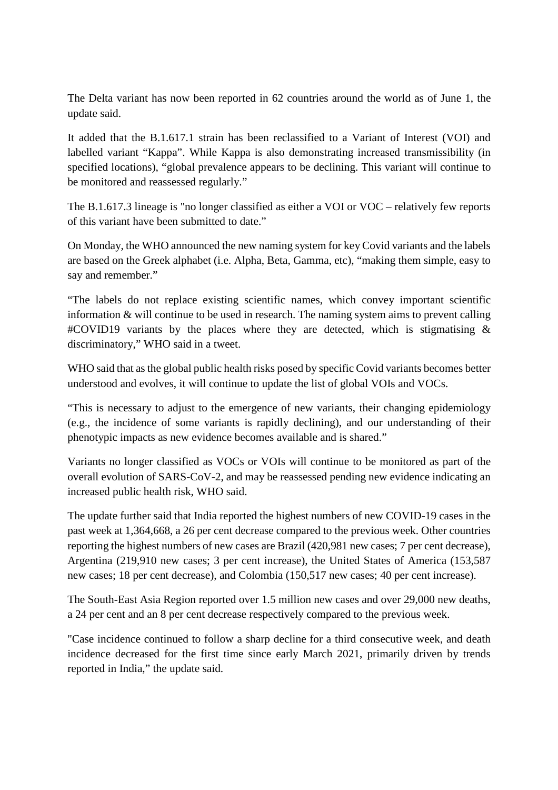The Delta variant has now been reported in 62 countries around the world as of June 1, the update said.

It added that the B.1.617.1 strain has been reclassified to a Variant of Interest (VOI) and labelled variant "Kappa". While Kappa is also demonstrating increased transmissibility (in specified locations), "global prevalence appears to be declining. This variant will continue to be monitored and reassessed regularly."

The B.1.617.3 lineage is "no longer classified as either a VOI or VOC – relatively few reports of this variant have been submitted to date."

On Monday, the WHO announced the new naming system for key Covid variants and the labels are based on the Greek alphabet (i.e. Alpha, Beta, Gamma, etc), "making them simple, easy to say and remember."

"The labels do not replace existing scientific names, which convey important scientific information & will continue to be used in research. The naming system aims to prevent calling  $\#\text{COVID19}$  variants by the places where they are detected, which is stigmatising  $\&$ discriminatory," WHO said in a tweet.

WHO said that as the global public health risks posed by specific Covid variants becomes better understood and evolves, it will continue to update the list of global VOIs and VOCs.

"This is necessary to adjust to the emergence of new variants, their changing epidemiology (e.g., the incidence of some variants is rapidly declining), and our understanding of their phenotypic impacts as new evidence becomes available and is shared."

Variants no longer classified as VOCs or VOIs will continue to be monitored as part of the overall evolution of SARS-CoV-2, and may be reassessed pending new evidence indicating an increased public health risk, WHO said.

The update further said that India reported the highest numbers of new COVID-19 cases in the past week at 1,364,668, a 26 per cent decrease compared to the previous week. Other countries reporting the highest numbers of new cases are Brazil (420,981 new cases; 7 per cent decrease), Argentina (219,910 new cases; 3 per cent increase), the United States of America (153,587 new cases; 18 per cent decrease), and Colombia (150,517 new cases; 40 per cent increase).

The South-East Asia Region reported over 1.5 million new cases and over 29,000 new deaths, a 24 per cent and an 8 per cent decrease respectively compared to the previous week.

"Case incidence continued to follow a sharp decline for a third consecutive week, and death incidence decreased for the first time since early March 2021, primarily driven by trends reported in India," the update said.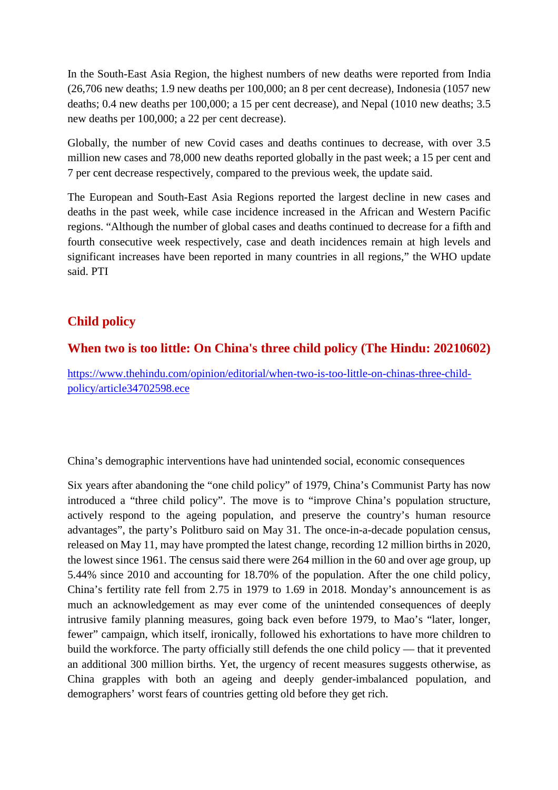In the South-East Asia Region, the highest numbers of new deaths were reported from India (26,706 new deaths; 1.9 new deaths per 100,000; an 8 per cent decrease), Indonesia (1057 new deaths; 0.4 new deaths per 100,000; a 15 per cent decrease), and Nepal (1010 new deaths; 3.5 new deaths per 100,000; a 22 per cent decrease).

Globally, the number of new Covid cases and deaths continues to decrease, with over 3.5 million new cases and 78,000 new deaths reported globally in the past week; a 15 per cent and 7 per cent decrease respectively, compared to the previous week, the update said.

The European and South-East Asia Regions reported the largest decline in new cases and deaths in the past week, while case incidence increased in the African and Western Pacific regions. "Although the number of global cases and deaths continued to decrease for a fifth and fourth consecutive week respectively, case and death incidences remain at high levels and significant increases have been reported in many countries in all regions," the WHO update said. PTI

#### **Child policy**

#### **When two is too little: On China's three child policy (The Hindu: 20210602)**

https://www.thehindu.com/opinion/editorial/when-two-is-too-little-on-chinas-three-childpolicy/article34702598.ece

China's demographic interventions have had unintended social, economic consequences

Six years after abandoning the "one child policy" of 1979, China's Communist Party has now introduced a "three child policy". The move is to "improve China's population structure, actively respond to the ageing population, and preserve the country's human resource advantages", the party's Politburo said on May 31. The once-in-a-decade population census, released on May 11, may have prompted the latest change, recording 12 million births in 2020, the lowest since 1961. The census said there were 264 million in the 60 and over age group, up 5.44% since 2010 and accounting for 18.70% of the population. After the one child policy, China's fertility rate fell from 2.75 in 1979 to 1.69 in 2018. Monday's announcement is as much an acknowledgement as may ever come of the unintended consequences of deeply intrusive family planning measures, going back even before 1979, to Mao's "later, longer, fewer" campaign, which itself, ironically, followed his exhortations to have more children to build the workforce. The party officially still defends the one child policy — that it prevented an additional 300 million births. Yet, the urgency of recent measures suggests otherwise, as China grapples with both an ageing and deeply gender-imbalanced population, and demographers' worst fears of countries getting old before they get rich.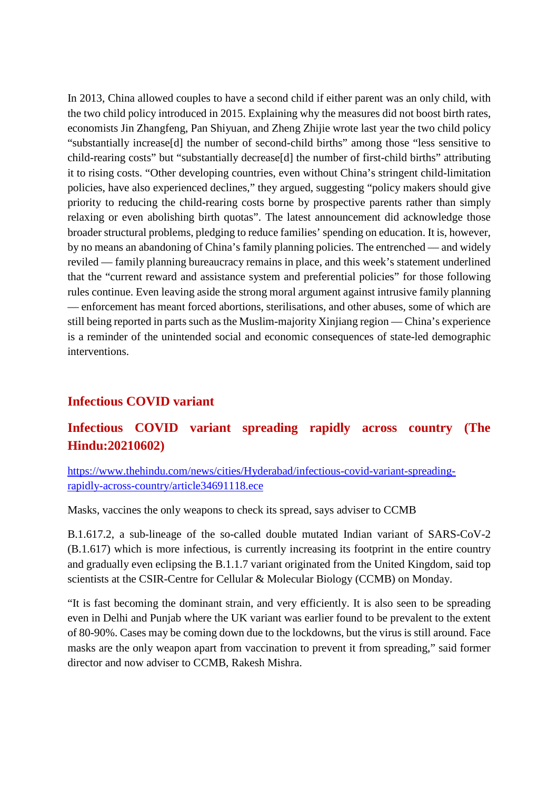In 2013, China allowed couples to have a second child if either parent was an only child, with the two child policy introduced in 2015. Explaining why the measures did not boost birth rates, economists Jin Zhangfeng, Pan Shiyuan, and Zheng Zhijie wrote last year the two child policy "substantially increase[d] the number of second-child births" among those "less sensitive to child-rearing costs" but "substantially decrease[d] the number of first-child births" attributing it to rising costs. "Other developing countries, even without China's stringent child-limitation policies, have also experienced declines," they argued, suggesting "policy makers should give priority to reducing the child-rearing costs borne by prospective parents rather than simply relaxing or even abolishing birth quotas". The latest announcement did acknowledge those broader structural problems, pledging to reduce families' spending on education. It is, however, by no means an abandoning of China's family planning policies. The entrenched — and widely reviled — family planning bureaucracy remains in place, and this week's statement underlined that the "current reward and assistance system and preferential policies" for those following rules continue. Even leaving aside the strong moral argument against intrusive family planning — enforcement has meant forced abortions, sterilisations, and other abuses, some of which are still being reported in parts such as the Muslim-majority Xinjiang region — China's experience is a reminder of the unintended social and economic consequences of state-led demographic interventions.

#### **Infectious COVID variant**

#### **Infectious COVID variant spreading rapidly across country (The Hindu:20210602)**

https://www.thehindu.com/news/cities/Hyderabad/infectious-covid-variant-spreadingrapidly-across-country/article34691118.ece

Masks, vaccines the only weapons to check its spread, says adviser to CCMB

B.1.617.2, a sub-lineage of the so-called double mutated Indian variant of SARS-CoV-2 (B.1.617) which is more infectious, is currently increasing its footprint in the entire country and gradually even eclipsing the B.1.1.7 variant originated from the United Kingdom, said top scientists at the CSIR-Centre for Cellular & Molecular Biology (CCMB) on Monday.

"It is fast becoming the dominant strain, and very efficiently. It is also seen to be spreading even in Delhi and Punjab where the UK variant was earlier found to be prevalent to the extent of 80-90%. Cases may be coming down due to the lockdowns, but the virus is still around. Face masks are the only weapon apart from vaccination to prevent it from spreading," said former director and now adviser to CCMB, Rakesh Mishra.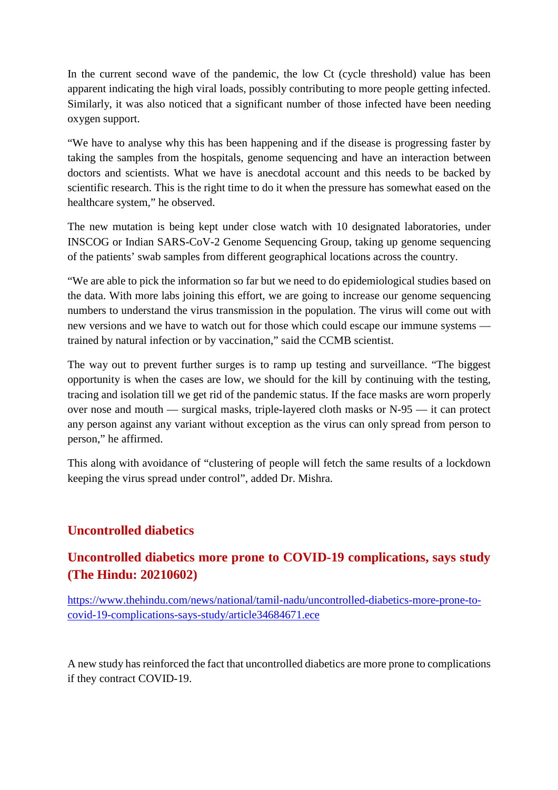In the current second wave of the pandemic, the low Ct (cycle threshold) value has been apparent indicating the high viral loads, possibly contributing to more people getting infected. Similarly, it was also noticed that a significant number of those infected have been needing oxygen support.

"We have to analyse why this has been happening and if the disease is progressing faster by taking the samples from the hospitals, genome sequencing and have an interaction between doctors and scientists. What we have is anecdotal account and this needs to be backed by scientific research. This is the right time to do it when the pressure has somewhat eased on the healthcare system," he observed.

The new mutation is being kept under close watch with 10 designated laboratories, under INSCOG or Indian SARS-CoV-2 Genome Sequencing Group, taking up genome sequencing of the patients' swab samples from different geographical locations across the country.

"We are able to pick the information so far but we need to do epidemiological studies based on the data. With more labs joining this effort, we are going to increase our genome sequencing numbers to understand the virus transmission in the population. The virus will come out with new versions and we have to watch out for those which could escape our immune systems trained by natural infection or by vaccination," said the CCMB scientist.

The way out to prevent further surges is to ramp up testing and surveillance. "The biggest opportunity is when the cases are low, we should for the kill by continuing with the testing, tracing and isolation till we get rid of the pandemic status. If the face masks are worn properly over nose and mouth — surgical masks, triple-layered cloth masks or N-95 — it can protect any person against any variant without exception as the virus can only spread from person to person," he affirmed.

This along with avoidance of "clustering of people will fetch the same results of a lockdown keeping the virus spread under control", added Dr. Mishra.

#### **Uncontrolled diabetics**

#### **Uncontrolled diabetics more prone to COVID-19 complications, says study (The Hindu: 20210602)**

https://www.thehindu.com/news/national/tamil-nadu/uncontrolled-diabetics-more-prone-tocovid-19-complications-says-study/article34684671.ece

A new study has reinforced the fact that uncontrolled diabetics are more prone to complications if they contract COVID-19.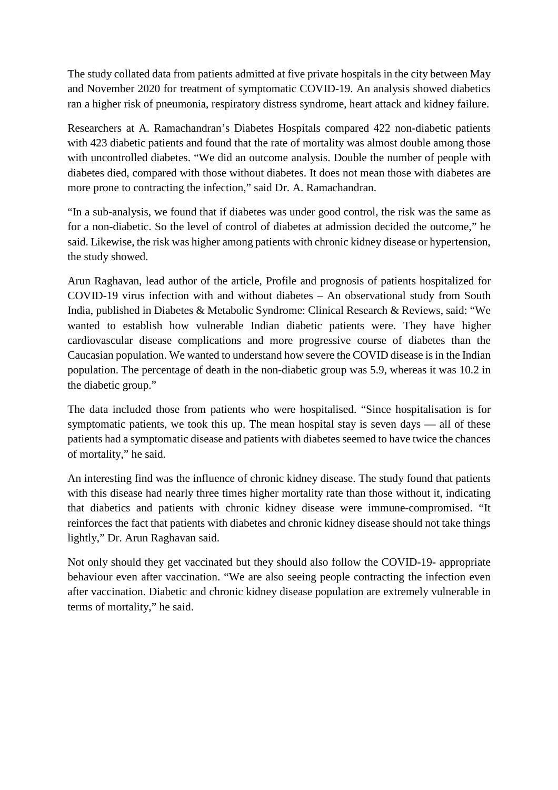The study collated data from patients admitted at five private hospitals in the city between May and November 2020 for treatment of symptomatic COVID-19. An analysis showed diabetics ran a higher risk of pneumonia, respiratory distress syndrome, heart attack and kidney failure.

Researchers at A. Ramachandran's Diabetes Hospitals compared 422 non-diabetic patients with 423 diabetic patients and found that the rate of mortality was almost double among those with uncontrolled diabetes. "We did an outcome analysis. Double the number of people with diabetes died, compared with those without diabetes. It does not mean those with diabetes are more prone to contracting the infection," said Dr. A. Ramachandran.

"In a sub-analysis, we found that if diabetes was under good control, the risk was the same as for a non-diabetic. So the level of control of diabetes at admission decided the outcome," he said. Likewise, the risk was higher among patients with chronic kidney disease or hypertension, the study showed.

Arun Raghavan, lead author of the article, Profile and prognosis of patients hospitalized for COVID-19 virus infection with and without diabetes – An observational study from South India, published in Diabetes & Metabolic Syndrome: Clinical Research & Reviews, said: "We wanted to establish how vulnerable Indian diabetic patients were. They have higher cardiovascular disease complications and more progressive course of diabetes than the Caucasian population. We wanted to understand how severe the COVID disease is in the Indian population. The percentage of death in the non-diabetic group was 5.9, whereas it was 10.2 in the diabetic group."

The data included those from patients who were hospitalised. "Since hospitalisation is for symptomatic patients, we took this up. The mean hospital stay is seven days — all of these patients had a symptomatic disease and patients with diabetes seemed to have twice the chances of mortality," he said.

An interesting find was the influence of chronic kidney disease. The study found that patients with this disease had nearly three times higher mortality rate than those without it, indicating that diabetics and patients with chronic kidney disease were immune-compromised. "It reinforces the fact that patients with diabetes and chronic kidney disease should not take things lightly," Dr. Arun Raghavan said.

Not only should they get vaccinated but they should also follow the COVID-19- appropriate behaviour even after vaccination. "We are also seeing people contracting the infection even after vaccination. Diabetic and chronic kidney disease population are extremely vulnerable in terms of mortality," he said.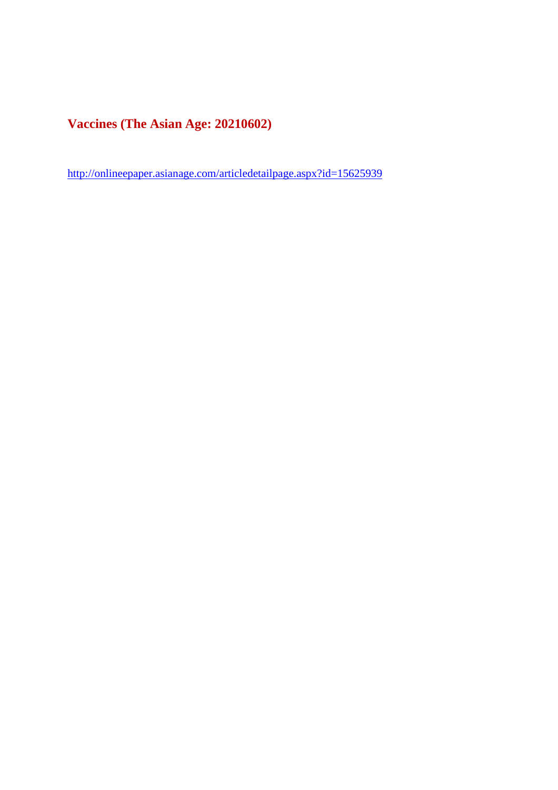**Vaccines (The Asian Age: 20210602)**

http://onlineepaper.asianage.com/articledetailpage.aspx?id=15625939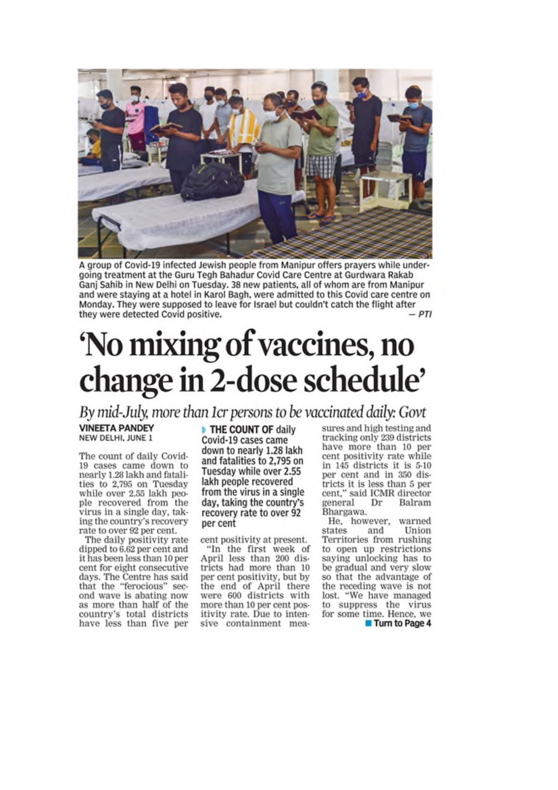

A group of Covid-19 infected Jewish people from Manipur offers prayers while undergoing treatment at the Guru Tegh Bahadur Covid Care Centre at Gurdwara Rakab Ganj Sahib in New Delhi on Tuesday. 38 new patients, all of whom are from Manipur and were staying at a hotel in Karol Bagh, were admitted to this Covid care centre on Monday. They were supposed to leave for Israel but couldn't catch the flight after they were detected Covid positive.  $-PTI$ 

## 'No mixing of vaccines, no change in 2-dose schedule'

By mid-July, more than 1cr persons to be vaccinated daily: Govt

**VINEETA PANDEY** NEW DELHI, JUNE 1

The count of daily Covid-19 cases came down to nearly 1.28 lakh and fatalities to 2,795 on Tuesday while over 2.55 lakh people recovered from the virus in a single day, taking the country's recovery rate to over 92 per cent.

The daily positivity rate dipped to 6.62 per cent and it has been less than 10 per cent for eight consecutive days. The Centre has said that the "ferocious" second wave is abating now as more than half of the country's total districts have less than five per

THE COUNT OF daily Covid-19 cases came down to nearly 1.28 lakh and fatalities to 2,795 on Tuesday while over 2.55 lakh people recovered from the virus in a single day, taking the country's recovery rate to over 92 per cent

cent positivity at present.

"In the first week of April less than 200 districts had more than 10 per cent positivity, but by the end of April there were 600 districts with more than 10 per cent positivity rate. Due to intensive containment measures and high testing and tracking only 239 districts have more than 10 per cent positivity rate while in 145 districts it is 5-10 per cent and in 350 districts it is less than 5 per cent," said ICMR director general Dr Balram Bhargawa.

He, however, warned states and Union Territories from rushing to open up restrictions saying unlocking has to be gradual and very slow so that the advantage of the receding wave is not lost. "We have managed to suppress the virus for some time. Hence, we Turn to Page 4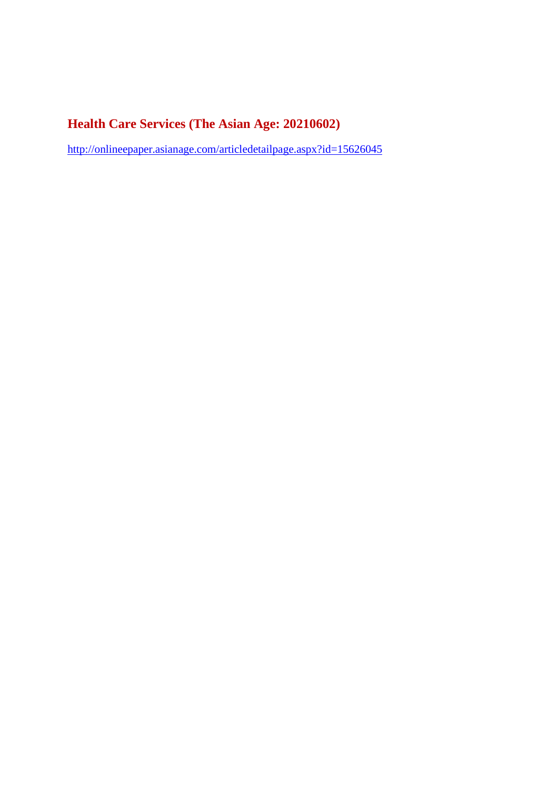#### **Health Care Services (The Asian Age: 20210602)**

http://onlineepaper.asianage.com/articledetailpage.aspx?id=15626045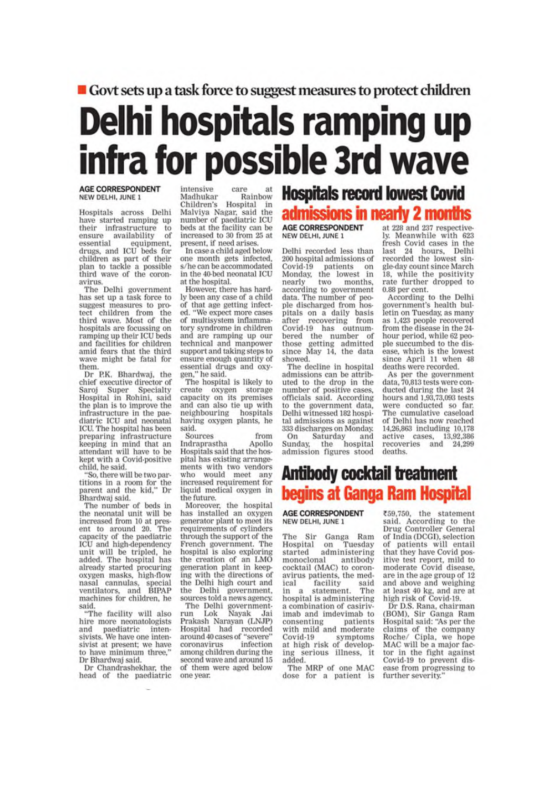#### Govt sets up a task force to suggest measures to protect children

## Delhi hospitals ramping up infra for possible 3rd wave

#### **AGE CORRESPONDENT** NEW DELHI, JUNE 1

Hospitals across Delhi have started ramping up ensure availability<br>essential their infrastructure to of essential equipment,<br>drugs, and ICU beds for children as part of their<br>plan to tackle a possible<br>third wave of the coronavirus.

The Delhi government has set up a task force to suggest measures to protect children from the third wave. Most of the hospitals are focussing on ramping up their ICU beds and facilities for children amid fears that the third wave might be fatal for them.

Dr P.K. Bhardwaj, the<br>chief executive director of Super Saroi Specialty Hospital in Rohini, said the plan is to improve the infrastructure in the paediatric ICU and neonatal ICU, The hospital has been preparing infrastructure keeping in mind that an attendant will have to be kept with a Covid-positive child, he said.

"So, there will be two partitions in a room for the<br>parent and the kid," Dr Bhardwaj said.

The number of beds in the neonatal unit will be increased from 10 at present to around 20. The capacity of the paediatric ICU and high-dependency unit will be tripled, he added. The hospital has<br>already started procuring oxygen masks, high-flow nasal cannulas, special<br>ventilators, and BIPAP<br>machines for children, he said.

"The facility will also hire more neonatologists and paediatric intensivists. We have one intensivist at present; we have to have minimum three," Dr Bhardwaj said.

Dr Chandrashekhar, the head of the paediatric

intensive care Rainbow Madhukar Children's Hospital in<br>Malviya Nagar, said the<br>number of paediatric ICU<br>heds at the beds at the facility can be increased to 30 from 25 at present, if need arises.

In case a child aged below one month gets infected. s/he can be accommodated in the 40-bed neonatal ICU at the hospital.

However, there has hardly been any case of a child of that age getting infected. "We expect more cases of multisystem inflammatory syndrome in children and are ramping up our technical and manpower<br>support and taking steps to ensure enough quantity of essential drugs and oxygen," he said.

The hospital is likely to create oxygen storage<br>capacity on its premises and can also tie up with neighbouring hospitals having oxygen plants, he said.

Sources from Indraprastha Apollo Hospitals said that the hospital has existing arrangements with two vendors who would meet any<br>increased requirement for liquid medical oxygen in the future.

Moreover, the hospital has installed an oxygen generator plant to meet its requirements of cylinders through the support of the French government. The hospital is also exploring the creation of an LMO<br>generation plant in keeping with the directions of the Delhi high court and the Delhi government,<br>sources told a news agency.

The Delhi government-<br>un Lok Nayak Jai run Prakash Narayan (LNJP) Hospital had recorded around 40 cases of "severe" coronavirus infection among children during the second wave and around 15 of them were aged below one year.

### **Hospitals record lowest Covid** admissions in nearly 2 months

**AGE CORRESPONDENT** NEW DELHI, JUNE 1

Delhi recorded less than 200 hospital admissions of Covid-19 patients on<br>Monday, the lowest in nearly months. two according to government data. The number of people discharged from hospitals on a daily basis<br>after recovering from Covid-19 has outnumbered the number of those getting admitted<br>since May 14, the data showed.

The decline in hospital admissions can be attributed to the drop in the number of positive cases,<br>officials said. According to the government data, Delhi witnessed 182 hospital admissions as against 333 discharges on Monday. Saturday On and

Sunday, the hospital admission figures stood

at 228 and 237 respectively. Meanwhile with 623 fresh Covid cases in the<br>last 24 hours, Delhi last recorded the lowest single-day count since March 18, while the positivity rate further dropped to 0.88 per cent.

According to the Delhi government's health bulletin on Tuesday, as many as 1,423 people recovered from the disease in the 24hour period, while 62 people succumbed to the disease, which is the lowest since April 11 when 48 deaths were recorded.

As per the government<br>data, 70,813 tests were conducted during the last 24 hours and 1,93,73,093 tests were conducted so far. The cumulative caseload of Delhi has now reached 14,26,863 including 10,178 active cases, 13,92,386<br>recoveries and 24,299 deaths

#### **Antibody cocktail treatment** begins at Ganga Ram Hospital

#### **AGE CORRESPONDENT** NEW DELHI, JUNE 1

The Sir Ganga Ram Hospital on Tuesday started administering monoclonal antibody monocional antibody<br>cocktail (MAC) to coronavirus patients, the medsaid ical facility statement. in a The hospital is administering a combination of casirivimab and imdevimab to consenting patients with mild and moderate Covid-19 symptoms<br>at high risk of developserious illness, it ing added.

The MRP of one MAC dose for a patient is

₹59,750, the statement said. According to the Drug Controller General of India (DCGI), selection of patients will entail that they have Covid positive test report, mild to moderate Covid disease, are in the age group of 12 and above and weighing at least 40 kg, and are at<br>high risk of Covid-19.

Dr D.S. Rana, chairman<br>(BOM), Sir Ganga Ram Hospital said: "As per the claims of the company<br>Roche/ Cipla, we hope<br>MAC will be a major factor in the fight against Covid-19 to prevent disease from progressing to further severity.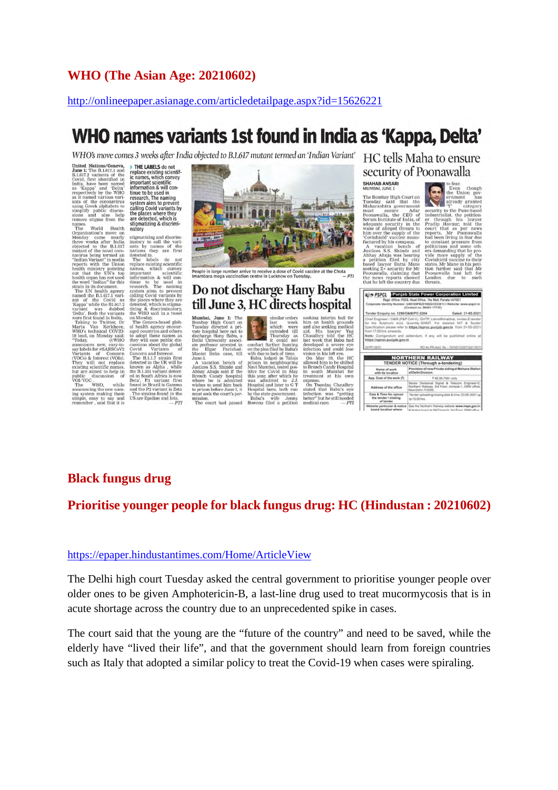#### **WHO (The Asian Age: 20210602)**

#### http://onlineepaper.asianage.com/articledetailpage.aspx?id=15626221

### WHO names variants 1st found in India as 'Kappa, Delta'

WHO's move comes 3 weeks after India objected to B.1.617 mutant termed an 'Indian Variant'

United Nations/Geneva,<br>June 1: The B.1.617.1 and<br>B.1.617.2 variants of the Covid, first identified in<br>India, have been named<br>as 'Kappa' and 'Delta'<br>respectively by the WHO<br>as it named various varias Kappa and Deras<br>respectively by the WHO<br>ants as it named various vari-<br>ants of the coronavirus<br>using Greek alphabets to<br>sions and also help<br>remove stigma from the<br>names

remove sugnar<br>an The World Health<br>The World Health<br>Organisation's move on Monday came nearly<br>three weeks after India<br>mudant of the B.J.617<br>manimum multimates in the UNS to<br>"Indian Variant" in media<br>beath munity pointing<br>be out that the UN's top<br>health organ has not used<br>the word "Indian" for this<br>strain in its document.<br>The UN health agency<br>named the B.1.617.1 vari-<br>ant of the Covid as<br>"Xappa" while the BL617.2<br>variant was dubbed<br>"Delta". Ro and of the Covid as<br>
xapawhile the RL617.2<br>
variant was dubbed variants<br>
vere first found in India.<br>
The Taxis of The Taxis and Taxis and Taxis and Taxis and Microsoft<br>
Microsoft Covid Covid<br>
19 lead, on Monday said:<br>
200 "Today, @WHO<br>announces new, easy-to-<br>say labels for #SARSCoV2<br>Variants of Concern<br>(VOCs) & Interest (VOIs).<br>They will not replace<br>but are aimed to help in<br>public discussion of<br>VOUADO public discussion of<br>VOI/VOC.<br>The WHO, while<br>announcing the new nam-

The WHO, while<br>mnouncing the new nam-<br>mg system making them<br>imple, easy to say and<br>emember, said that it is

THE LABELS of orches up the THE LABELS of the CASE replace existing scientific names, which convey<br>important scientific names, which convey<br>information & will continue to be used in<br>the places where they be places where th

stigmatising and discriminatory to call the vari-

stigmatising and discriminatory to call the vari-<br>antisoty to call the vari-<br>antis by names of the mations they are first detected in. The detected in<br>the detected in the detected in the detected in the detected in the<br>pr

ed in South Africa is now<br>Beta', P1 variant Inrst<br>found in Brazil is Gamma<br>and the P.2 variant is Zeta<br>The strains found in the<br>US are Epsilon and Iota.<br> $\begin{array}{r} -PTI \end{array}$ 



People in large number arrive to receive a dose of Covid vaccine at the Chota

#### Do not discharge Hany Babu till June 3, HC directs hospital

**Mumbai, June 1:** The Bombay High Court on<br>Tuesday directed a private hospital here not to<br>discharge Hany Babu, a Delhi University associated<br>at professor arrested in<br>the Elgar Parishad.<br>the Elgar Parishad. Elgar Parishadist links case, till

The state of the state of Aviation of Aviations S.S. Shinde and Abbay Abaptial of the Breach Candy hospital<br>wisere he is admitted with the state of the state of the state of the state of the state of the state of the state o.<br>vacation bench of<br>ces S.S. Shinde and son before aune a, i<br>seek the court's per mission.<br>The court had passed

 ${\small \begin{tabular}{|c|c|} \hline \multicolumn{1}{|c|}{simular orders} \\ \hline \multicolumn{1}{|c|}{simular orders} \\ \hline \multicolumn{1}{|c|}{switched with were extended till condition and the parameters of the two index of time. \\ \hline \multicolumn{1}{|c|}{intraedy zas} \\ \hline \multicolumn{1}{|c|}{with small red index to 0. \\ \hline \multicolumn{1}{|c|}{with small red index to 0. \\ \hline \multicolumn{1}{|c|}{the for Covidial in May} \\ \hline \multicolumn{1}{|c|}{the for Covidial in May} \\ \hline \multicolumn{1}{|c|}{the for Covidial in the case}$ him on health grou<br>and also seeking med<br>aid. His lawyer<br>Chaudhry told the<br>last week that Babu<br>developed a severe<br>infection and could nast ween that Bauel man<br>developed a severe eye<br>infection and could lose<br>vision in his left eye.<br>On May 19, the HC<br>allowed him to be shifted<br>to Breach Candy Hospital<br>in south Mumbai for<br>treatment at his own

treatment at his own<br>expense.<br>On Tuesday, Chaudhry<br>stated that Babu's eye stated that Babu's<br>infection was "ge<br>better" but he still ne<br>medical care.

HC tells Maha to ensure security of Poonawalla **SHAHAB ANSARI**<br>MUMBAI, JUNE 1

momon, Jour<br>
The Bombay High Court on<br>
The Bombay High Court on<br>
Maharashtra government<br>
must<br>
mamon<br>
Maharashtra government<br>
Poonawalla, the CEO of<br>
Serum Institute of India, of<br>
adequate security in the<br>
wake of alleged Coverage of the value of the value of the value of the search of the search of the search of the search of the search of the search of the search of the search of the search of the search of the search of the search of the ich  $\frac{be}{\text{Shi}}$ earing<br>y city<br>Mane<br>for Mr<br>ng thai a petition filed b<br>based lawyer Datta<br>seeking Z+ security<br>Poonawalla, claimit the news reports showed<br>that he left the country due

**Vis** 

ernment has<br>already granted<br>'Y' category<br>to the Pune-based security to the Pu<br>industrialist, the<br>er through his<br>Pradip Havnur, iticians and<br>demanding t vide more supply of the<br>Covishield vaccine to their<br>states. Mr Mane in his peti<br>tion further said that Mr<br>Poonawalla had left for London<br>threats. due to such

|                                                                                                                                                                                                                                                          | PSPEL Punjab State Power Corporation Limited                                           |                                                                                                      |
|----------------------------------------------------------------------------------------------------------------------------------------------------------------------------------------------------------------------------------------------------------|----------------------------------------------------------------------------------------|------------------------------------------------------------------------------------------------------|
| Corporate identity Number: U48109PB2010SGC033813   Website: www.pspcl.in.                                                                                                                                                                                | Rept. Office: PSER, Head Office. The Mail. Patiala-147001<br>(Contact no. 96461-17731) |                                                                                                      |
| Tender Enquiry no. 1296/0&M/PC-2204                                                                                                                                                                                                                      |                                                                                        | Dated: 31-05-2021                                                                                    |
| Chief Engineer / O&M (P&P Cell-II), CIHTP, LehraMohabbat, invites E-tender<br>for the Sulphuric Acid. Quantity-300MT. For detailed NIT & Tender<br>Specification please refer to https://eproc.punjab.gov.in from 31-05-2021<br>from 17:00 hrs. onwards. |                                                                                        |                                                                                                      |
| Note: Corrigondum and addendum. If any will be published online at<br>https://eproc.punjab.gov.in                                                                                                                                                        |                                                                                        |                                                                                                      |
| GHTP-28/21                                                                                                                                                                                                                                               |                                                                                        | RO No PR-Advt. No. - 7615513/2077/2021/5/11                                                          |
|                                                                                                                                                                                                                                                          | <b>NORTHERN RAILWAY</b>                                                                |                                                                                                      |
|                                                                                                                                                                                                                                                          | TENDER NOTICE (Through e-tendering)                                                    |                                                                                                      |
| Name of second<br>with its location                                                                                                                                                                                                                      | of Delhi Division.                                                                     | Provision of new Private siding at Mahana Station                                                    |
| App. Cost-of the work (?)                                                                                                                                                                                                                                |                                                                                        | ₹ 40.36.750/- urzy                                                                                   |
| Address of the office                                                                                                                                                                                                                                    |                                                                                        | Senior Divisional Signal & Telecom Engineer-C.<br>Northern Railway, 3rd Floor, Annexe-T, DRM office, |

Tendery<br>to 15.00

#### **Black fungus drug**

#### **Prioritise younger people for black fungus drug: HC (Hindustan : 20210602)**

#### https://epaper.hindustantimes.com/Home/ArticleView

The Delhi high court Tuesday asked the central government to prioritise younger people over older ones to be given Amphotericin-B, a last-line drug used to treat mucormycosis that is in acute shortage across the country due to an unprecedented spike in cases.

The court said that the young are the "future of the country" and need to be saved, while the elderly have "lived their life", and that the government should learn from foreign countries such as Italy that adopted a similar policy to treat the Covid-19 when cases were spiraling.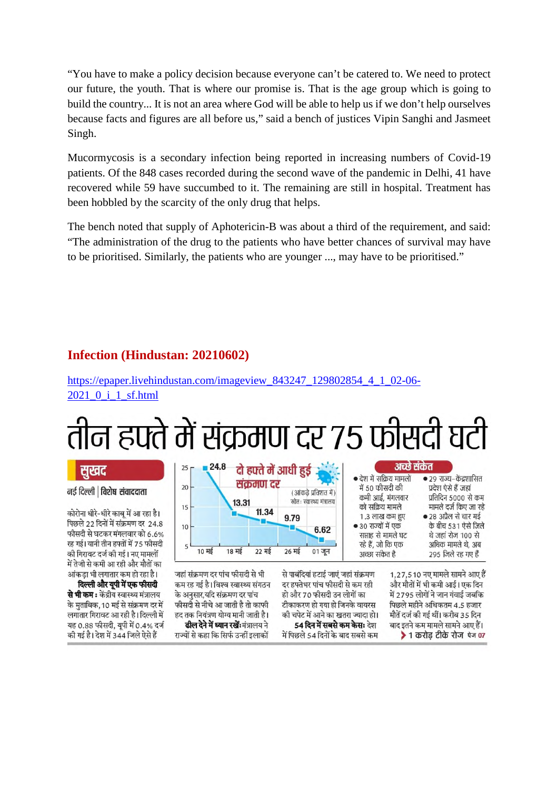"You have to make a policy decision because everyone can't be catered to. We need to protect our future, the youth. That is where our promise is. That is the age group which is going to build the country... It is not an area where God will be able to help us if we don't help ourselves because facts and figures are all before us," said a bench of justices Vipin Sanghi and Jasmeet Singh.

Mucormycosis is a secondary infection being reported in increasing numbers of Covid-19 patients. Of the 848 cases recorded during the second wave of the pandemic in Delhi, 41 have recovered while 59 have succumbed to it. The remaining are still in hospital. Treatment has been hobbled by the scarcity of the only drug that helps.

The bench noted that supply of Aphotericin-B was about a third of the requirement, and said: "The administration of the drug to the patients who have better chances of survival may have to be prioritised. Similarly, the patients who are younger ..., may have to be prioritised."

#### **Infection (Hindustan: 20210602)**

https://epaper.livehindustan.com/imageview\_843247\_129802854\_4\_1\_02-06- 2021\_0\_i\_1\_sf.html

## तीन हफ्ते में संक्रमण दर 75 फीसदी घटी

#### सखद

#### नई दिल्ली | विशेष संवाददाता

कोरोना धीरे-धीरे काब में आ रहा है। पिछले 22 दिनों में संक्रमण दर 24.8 फीसदी से घटकर मंगलवार को 6.6% रह गई। यानी तीन हफ्तों में 75 फीसदी की गिरावट दर्ज की गई। नए मामलों में तेजी से कमी आ रही और मौतों का आंकडा भी लगातार कम हो रहा है।

दिल्ली और यूपी में एक फीसदी **से भी कम :** केंद्रीय स्वास्थ्य मंत्रालय के मुताबिक,10 मई से संक्रमण दर में लगातार गिरावट आ रही है। दिल्ली में यह 0.88 फीसदी, यपी में 0.4% दर्ज की गई है। देश में 344 जिले ऐसे हैं



जहां संक्रमण दर पांच फीसदी से भी कम रह गई है। विश्व स्वास्थ्य संगठन के अनुसार,यदि संक्रमण दर पांच फीसदी से नीचे आ जाती है तो काफी हद तक नियंत्रण योग्य मानी जाती है। **ढील देने में ध्यान रखें:**मंत्रालय ने राज्यों से कहा कि सिर्फ उन्हीं इलाकों

से पाबंदियां हटाई जाएं जहां संक्रमण दर हफ्तेभर पांच फीसदी से कम रही हो और 70 फीसदी उन लोगों का टीकाकरण हो गया हो जिनके वायरस की चपेट में आने का खतरा ज्यादा हो। 54 दिन में सबसे कम केसः देश में पिछले 54 दिनों के बाद सबसे कम

1.27.510 नए मामले सामने आए हैं और मौतों में भी कमी आई। एक दिन में 2795 लोगों ने जान गंवाई जबकि पिछले महीने अधिकतम 4.5 हजार मौतें दर्ज की गई थीं। करीब 35 दिन बाद इतने कम मामले सामने आए हैं। ▶ 1 करोड़ टीके रोज पेज 07

• २९ राज्य-केंद्रशासित

प्रतिदिन 5000 से कम

मामले दर्ज किए जा रहे

के बीच 531 ऐसे जिले

थे जहां रोज 100 से

अधिक मामले थे, अब

295 जिले रह गए हैं

● 28 अप्रैल से चार मई

प्रदेश ऐसे हैं जहां

अच्छे संकेत

• देश में सक्रिय मामलों

में 50 फीसदी की

को सक्रिय मामले

1.3 लाख कम हुए

सप्ताह से मामले घट

रहे हैं, जो कि एक

अच्छा संकेत है

● 30 राज्यों में एक

कमी आई, मंगलवार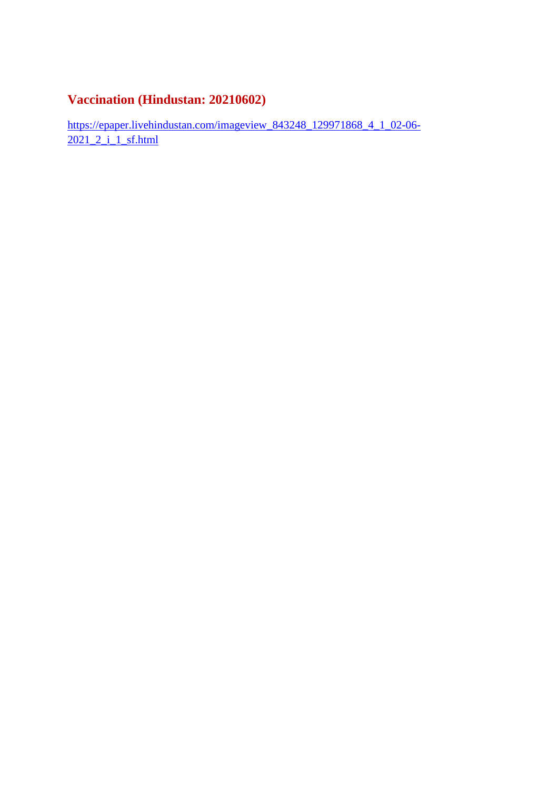#### **Vaccination (Hindustan: 20210602)**

https://epaper.livehindustan.com/imageview\_843248\_129971868\_4\_1\_02-06- 2021\_2\_i\_1\_sf.html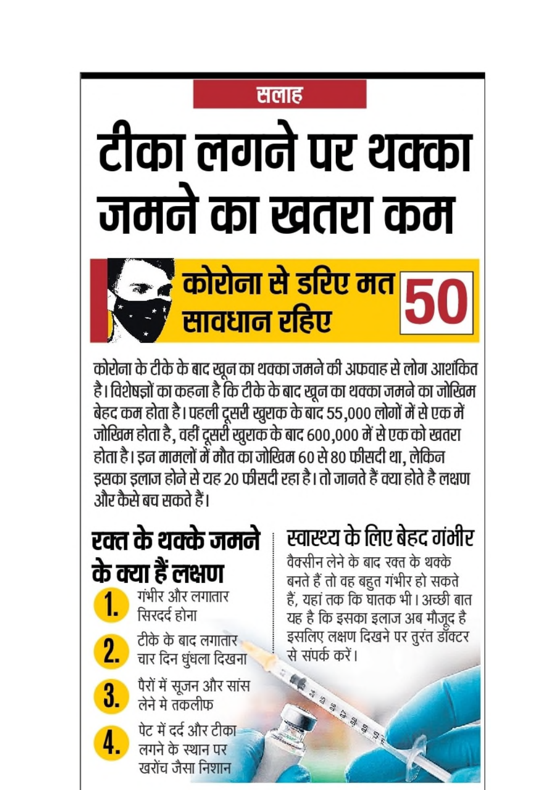### सलाह

# टीका लगने पर थक्का जमने का खतरा कम

## <u>स्त्रे कोरोना से डरिए मत स</u> सावधान रहिए

कोरोना के टीके के बाद खून का थक्का जमने की अफवाह से लोग आशंकित है। विशेषज्ञों का कहना है कि टीके के बाद खून का थक्का जमने का जोखिम बेहद कम होता है। पहली दूसरी खुराक के बाद 55,000 लोगों में से एक में जोखिम होता है , वहीं दूसरी खुराक के बाद 600,000 में से एक को खतरा होता है। इन मामलों में मौत का जोखिम 60 से 80 फीसदी था, लेकिन इसका इलाज होने से यह 20 फीसदी रहा है। तो जानते हैं क्या होते है लक्षण और कैसे बच सकते हैं।

### रक्त के थक्के जमने के क्या हैं लक्षण गंभीर और लगातार सिरदर्द होना टीके के बाद लगातार चार दिन धुंधला दिखना पैरों में सूजन और सांस<br>लेने मे तकलीफ  $3_{-}$ पेट में दर्द और टीका 4. लगने के स्थान पर

खरोंच जैसा निशान

## स्वास्थ्य के लिए बेहद गंभीर

वैक्सीन लेने के बाद रक्त के थक्के बनते हैं तो वह बहुत गंभीर हो सकते हैं, यहां तक कि घातक भी। अच्छी बात यह है कि इसका इलाज अब मौजूद है इसलिए लक्षण दिखने पर तुरंत डॉक्टर से संपर्क करें। **CESTING SERVICE STATE**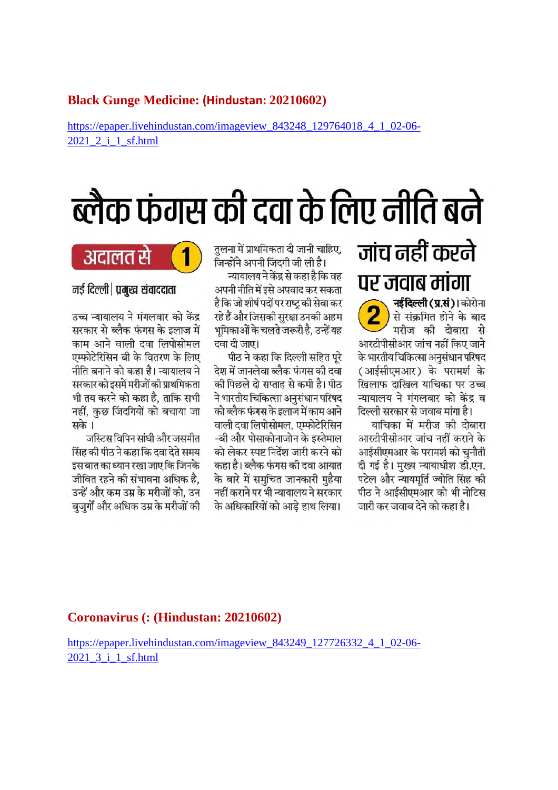#### **Black Gunge Medicine: (Hindustan: 20210602)**

https://epaper.livehindustan.com/imageview\_843248\_129764018\_4\_1\_02-06- 2021 2 i 1 sf.html

## ब्लैक फंगस की दवा के लिए नीति बने

### जांच नहीं करने पर जवाब मांगा

नई दिल्ली (प्र.सं)। कोरोना से संक्रमित होने के बाद मरीज की दोबारा से आरटीपीसीआर जांच नहीं किए जाने के भारतीय चिकित्सा अनुसंधान परिषद (आईसीएमआर) के परामर्श के खिलाफ दाखिल याचिका पर उच्च न्यायालय ने मंगलवार को केंद्र व दिल्ली सरकार से जवाब मांगा है।

याचिका में मरीज की दोबारा आरटीपीसीआर जांच नहीं कराने के आईसीएमआर के परामर्श को चुनौती दी गई है। मुख्य न्यायाधीश डी.एन. पटेल और न्यायमर्ति ज्योति सिंह की पीठ ने आईसीएमआर को भी नोटिस जारी कर जवाब देने को कहा है।

तुलना में प्राथमिकता दी जानी चाहिए, जिन्होंने अपनी जिंदगी जी ली है।

न्यायालय ने केंद्र से कहा है कि वह अपनी नीति में इसे अपवाद कर सकता है कि जो शीर्ष पदों पर राष्ट की सेवा कर रहे हैं और जिसकी सुरक्षा उनकी अहम भूमिकाओं के चलते जरूरी है, उन्हें यह दवा दी जाए।

पीठ ने कहा कि दिल्ली सहित परे देश में जानलेवा ब्लैक फंगस की दवा की पिछले दो सप्ताह से कमी है। पीठ ने भारतीय चिकित्सा अनुसंधान परिषद को ब्लैक फंगस के इलाज में काम आने वाली दवा लिपोसोमल, एम्फोटेरिसिन -बी और पोसाकोनाजोन के इस्तेमाल को लेकर स्पष्ट निर्देश जारी करने को कहा है। ब्लैक फंगस की दवा आयात के बारे में समचित जानकारी महैया नहीं कराने पर भी न्यायालय ने सरकार के अधिकारियों को आडे हाथ लिया।



नई दिल्ली | प्रमुख संवाददाता

उच्च न्यायालय ने मंगलवार को केंद्र सरकार से ब्लैक फंगस के इलाज में काम आने वाली दवा लिपोसोमल एम्फोटेरिसिन बी के वितरण के लिए नीति बनाने को कहा है। न्यायालय ने सरकार को इसमें मरीजों की प्राथमिकता भी तय करने को कहा है. ताकि सभी नहीं, कुछ जिंदगियों को बचाया जा सके ।

जस्टिस विपिन सांघी और जसमीत सिंह की पीठ ने कहा कि दवा देते समय इस बात का ध्यान रखा जाए कि जिनके जीवित रहने की संभावना अधिक है. उन्हें और कम उम्र के मरीजों को, उन बुजुर्गो और अधिक उम्र के मरीजों की

#### **Coronavirus (: (Hindustan: 20210602)**

https://epaper.livehindustan.com/imageview\_843249\_127726332\_4\_1\_02-06-2021 3 i 1 sf.html